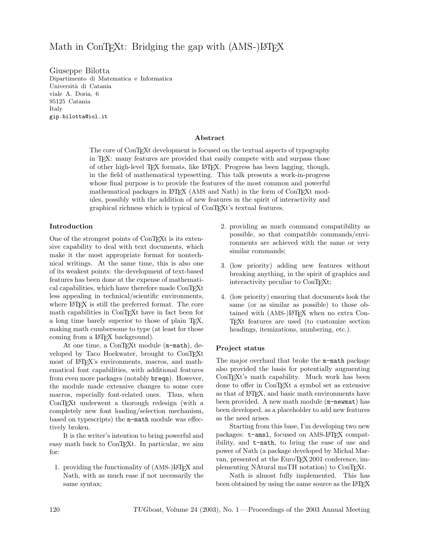# Math in ConT<sub>E</sub>Xt: Bridging the gap with (AMS-)LAT<sub>EX</sub>

Giuseppe Bilotta Dipartimento di Matematica e Informatica Università di Catania viale A. Doria, 6 95125 Catania Italy gip.bilotta@iol.it

# Abstract

The core of ConTEXt development is focused on the textual aspects of typography in TEX: many features are provided that easily compete with and surpass those of other high-level TEX formats, like LATEX. Progress has been lagging, though, in the field of mathematical typesetting. This talk presents a work-in-progress whose final purpose is to provide the features of the most common and powerful mathematical packages in LAT<sub>EX</sub> (AMS and Nath) in the form of ConTEXt modules, possibly with the addition of new features in the spirit of interactivity and graphical richness which is typical of ConTEXt's textual features.

### Introduction

One of the strongest points of ConTEXt is its extensive capability to deal with text documents, which make it the most appropriate format for nontechnical writings. At the same time, this is also one of its weakest points: the development of text-based features has been done at the expense of mathematical capabilities, which have therefore made ConTEXt less appealing in technical/scientific environments, where LAT<sub>EX</sub> is still the preferred format. The core math capabilities in ConTEXt have in fact been for a long time barely superior to those of plain TEX, making math cumbersome to type (at least for those coming from a L<sup>AT</sup>FX background).

At one time, a ConTFXt module (m-math), developed by Taco Hoekwater, brought to ConTEXt most of IAT<sub>E</sub>X's environments, macros, and mathematical font capabilities, with additional features from even more packages (notably breqn). However, the module made extensive changes to some core macros, especially font-related ones. Thus, when ConT<sub>E</sub>X<sup>t</sup> underwent a thorough redesign (with a completely new font loading/selection mechanism, based on typescripts) the m-math module was effectively broken.

It is the writer's intention to bring powerful and easy math back to ConT<sub>EXt</sub>. In particular, we aim for:

1. providing the functionality of (AMS-) $\mathbb{F}X$  and Nath, with as much ease if not necessarily the same syntax;

- 2. providing as much command compatibility as possible, so that compatible commands/environments are achieved with the same or very similar commands;
- 3. (low priority) adding new features without breaking anything, in the spirit of graphics and interactivity peculiar to ConTEXt;
- 4. (low priority) ensuring that documents look the same (or as similar as possible) to those obtained with (AMS-)LATEX when no extra Con-TEXt features are used (to customize section headings, itemizations, numbering, etc.).

#### Project status

The major overhaul that broke the m-math package also provided the basis for potentially augmenting ConTEXt's math capability. Much work has been done to offer in ConTEXt a symbol set as extensive as that of LATEX, and basic math environments have been provided. A new math module (m-newmat) has been developed, as a placeholder to add new features as the need arises.

Starting from this base, I'm developing two new packages: t-ams1, focused on AMS-L<sup>A</sup>T<sub>F</sub>X compatibility, and t-nath, to bring the ease of use and power of Nath (a package developed by Michal Marvan, presented at the EuroTEX 2001 conference, implementing NAtural maTH notation) to ConT<sub>E</sub>Xt.

Nath is almost fully implemented. This has been obtained by using the same source as the LAT<sub>E</sub>X